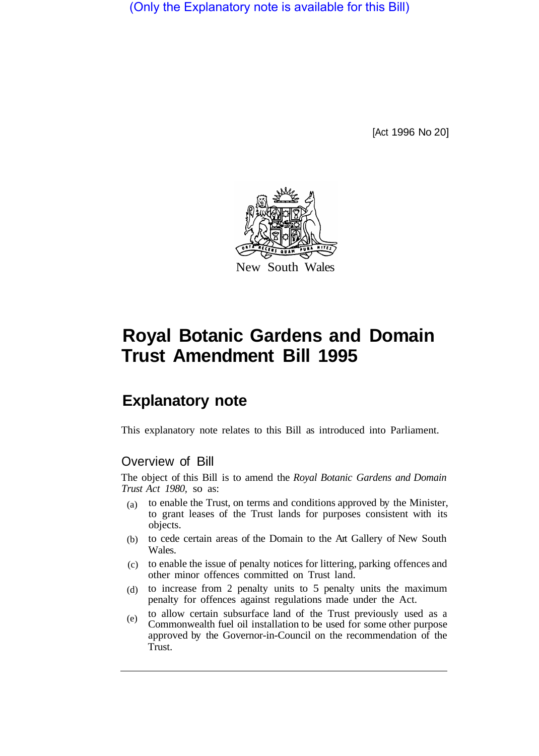(Only the Explanatory note is available for this Bill)

[Act 1996 No 20]



# **Royal Botanic Gardens and Domain Trust Amendment Bill 1995**

# **Explanatory note**

This explanatory note relates to this Bill as introduced into Parliament.

# Overview of Bill

The object of this Bill is to amend the *Royal Botanic Gardens and Domain Trust Act 1980,* so as:

- to enable the Trust, on terms and conditions approved by the Minister, to grant leases of the Trust lands for purposes consistent with its objects. (a)
- to cede certain areas of the Domain to the Art Gallery of New South Wales. (b)
- to enable the issue of penalty notices for littering, parking offences and (c) other minor offences committed on Trust land.
- (d) to increase from 2 penalty units to 5 penalty units the maximum penalty for offences against regulations made under the Act.
- to allow certain subsurface land of the Trust previously used as a Commonwealth fuel oil installation to be used for some other purpose approved by the Governor-in-Council on the recommendation of the Trust. (e)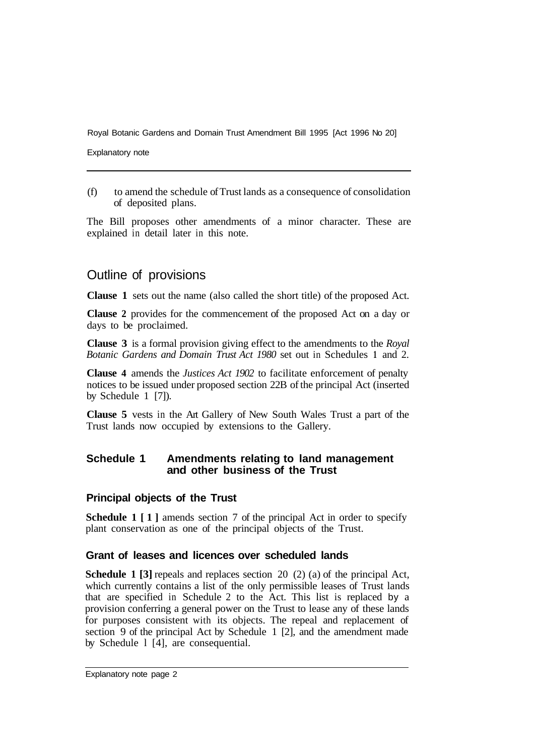Royal Botanic Gardens and Domain Trust Amendment Bill 1995 [Act 1996 No 20]

Explanatory note

(f) to amend the schedule of Trust lands as a consequence of consolidation of deposited plans.

The Bill proposes other amendments of a minor character. These are explained in detail later in this note.

# Outline of provisions

**Clause 1** sets out the name (also called the short title) of the proposed Act.

**Clause 2** provides for the commencement of the proposed Act on a day or days to be proclaimed.

**Clause 3** is a formal provision giving effect to the amendments to the *Royal Botanic Gardens and Domain Trust Act 1980* set out in Schedules **1** and 2.

**Clause 4** amends the *Justices Act 1902* to facilitate enforcement of penalty notices to be issued under proposed section 22B of the principal Act (inserted by Schedule 1 [7]).

**Clause 5** vests in the Art Gallery of New South Wales Trust a part of the Trust lands now occupied by extensions to the Gallery.

#### **Schedule 1 Amendments relating to land management and other business of the Trust**

#### **Principal objects of the Trust**

**Schedule** 1 [1] amends section 7 of the principal Act in order to specify plant conservation as one of the principal objects of the Trust.

#### **Grant of leases and licences over scheduled lands**

**Schedule 1 [3] repeals and replaces section 20 (2) (a) of the principal Act,** which currently contains a list of the only permissible leases of Trust lands that are specified in Schedule 2 to the Act. This list is replaced by a provision conferring a general power on the Trust to lease any of these lands for purposes consistent with its objects. The repeal and replacement of section 9 of the principal Act by Schedule 1 [2], and the amendment made by Schedule l [4], are consequential.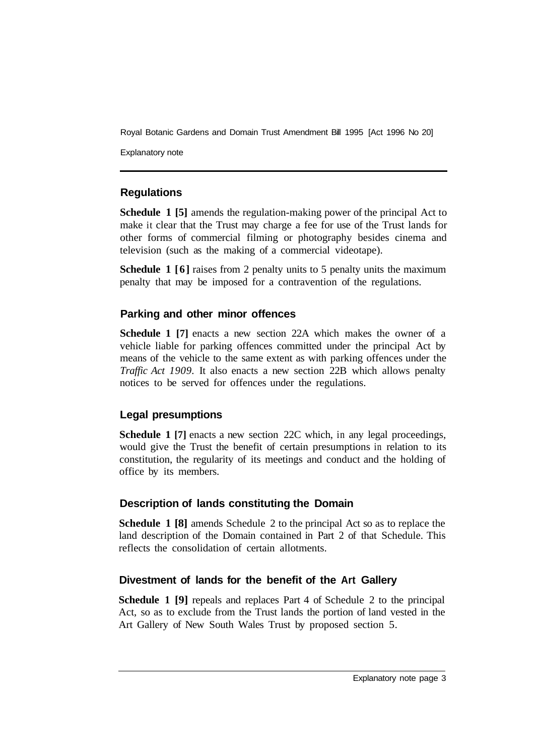Royal Botanic Gardens and Domain Trust Amendment Bill 1995 [Act 1996 No 20]

Explanatory note

# **Regulations**

**Schedule 1 [5]** amends the regulation-making power of the principal Act to make it clear that the Trust may charge a fee for use of the Trust lands for other forms of commercial filming or photography besides cinema and television (such as the making of a commercial videotape).

**Schedule 1 [6]** raises from 2 penalty units to 5 penalty units the maximum penalty that may be imposed for a contravention of the regulations.

#### **Parking and other minor offences**

**Schedule 1 [7]** enacts a new section 22A which makes the owner of a vehicle liable for parking offences committed under the principal Act by means of the vehicle to the same extent as with parking offences under the *Traffic Act 1909.* It also enacts a new section 22B which allows penalty notices to be served for offences under the regulations.

# **Legal presumptions**

**Schedule 1 [7]** enacts a new section 22C which, in any legal proceedings, would give the Trust the benefit of certain presumptions in relation to its constitution, the regularity of its meetings and conduct and the holding of office by its members.

# **Description of lands constituting the Domain**

**Schedule 1 [8]** amends Schedule 2 to the principal Act so as to replace the land description of the Domain contained in Part 2 of that Schedule. This reflects the consolidation of certain allotments.

# **Divestment of lands for the benefit of the Art Gallery**

**Schedule 1 [9]** repeals and replaces Part 4 of Schedule 2 to the principal Act, so as to exclude from the Trust lands the portion of land vested in the Art Gallery of New South Wales Trust by proposed section 5.